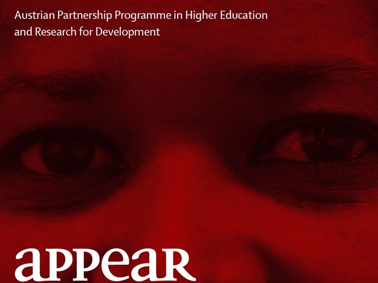Austrian Partnership Programme in Higher Education and Research for Development

# **www.appear.at** 1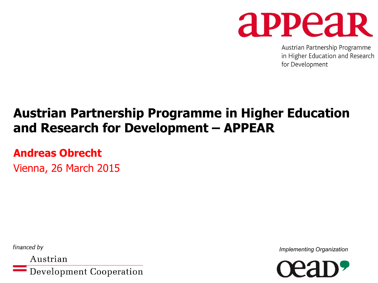

Austrian Partnership Programme in Higher Education and Research for Development

#### **Austrian Partnership Programme in Higher Education and Research for Development – APPEAR**

#### **Andreas Obrecht**

Vienna, 26 March 2015

financed by

Austrian Development Cooperation *Implementing Organization*

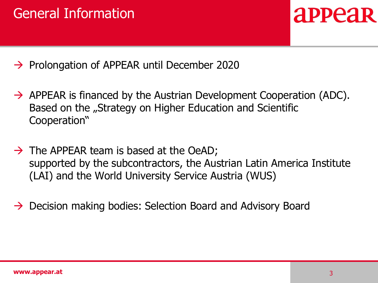- $\rightarrow$  Prolongation of APPEAR until December 2020
- $\rightarrow$  APPEAR is financed by the Austrian Development Cooperation (ADC). Based on the "Strategy on Higher Education and Scientific Cooperation"
- $\rightarrow$  The APPEAR team is based at the OeAD; supported by the subcontractors, the Austrian Latin America Institute (LAI) and the World University Service Austria (WUS)
- $\rightarrow$  Decision making bodies: Selection Board and Advisory Board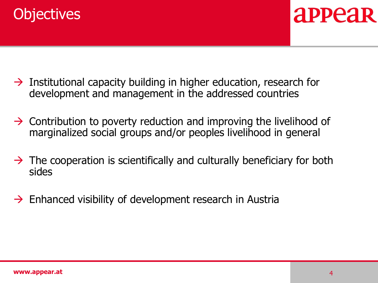



- $\rightarrow$  Institutional capacity building in higher education, research for development and management in the addressed countries
- $\rightarrow$  Contribution to poverty reduction and improving the livelihood of marginalized social groups and/or peoples livelihood in general
- $\rightarrow$  The cooperation is scientifically and culturally beneficiary for both sides
- $\rightarrow$  Enhanced visibility of development research in Austria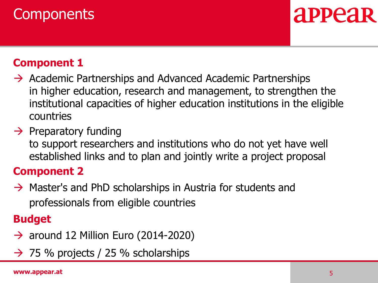### **Components**

# **APPEAR**

#### **Component 1**

- $\rightarrow$  Academic Partnerships and Advanced Academic Partnerships in higher education, research and management, to strengthen the institutional capacities of higher education institutions in the eligible countries
- $\rightarrow$  Preparatory funding
	- to support researchers and institutions who do not yet have well established links and to plan and jointly write a project proposal

#### **Component 2**

 $\rightarrow$  Master's and PhD scholarships in Austria for students and professionals from eligible countries

#### **Budget**

- $\rightarrow$  around 12 Million Euro (2014-2020)
- $\rightarrow$  75 % projects / 25 % scholarships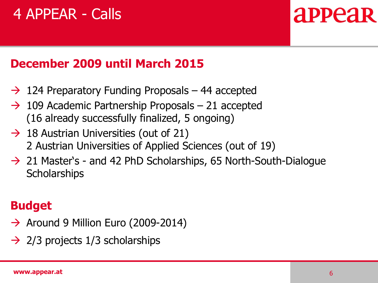### 4 APPEAR - Calls

# **APPEAR**

#### **December 2009 until March 2015**

- $\rightarrow$  124 Preparatory Funding Proposals 44 accepted
- $\rightarrow$  109 Academic Partnership Proposals 21 accepted (16 already successfully finalized, 5 ongoing)
- $\rightarrow$  18 Austrian Universities (out of 21) 2 Austrian Universities of Applied Sciences (out of 19)
- $\rightarrow$  21 Master's and 42 PhD Scholarships, 65 North-South-Dialogue **Scholarships**

#### **Budget**

- $\rightarrow$  Around 9 Million Euro (2009-2014)
- $\rightarrow$  2/3 projects 1/3 scholarships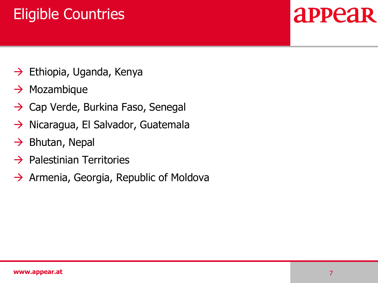### Eligible Countries

- $\rightarrow$  Ethiopia, Uganda, Kenya
- $\rightarrow$  Mozambique
- $\rightarrow$  Cap Verde, Burkina Faso, Senegal
- $\rightarrow$  Nicaragua, El Salvador, Guatemala
- $\rightarrow$  Bhutan, Nepal
- $\rightarrow$  Palestinian Territories
- $\rightarrow$  Armenia, Georgia, Republic of Moldova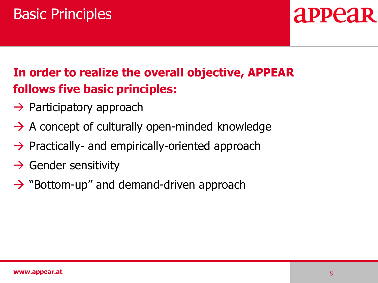#### **In order to realize the overall objective, APPEAR follows five basic principles:**

- $\rightarrow$  Participatory approach
- $\rightarrow$  A concept of culturally open-minded knowledge
- $\rightarrow$  Practically- and empirically-oriented approach
- $\rightarrow$  Gender sensitivity
- $\rightarrow$  "Bottom-up" and demand-driven approach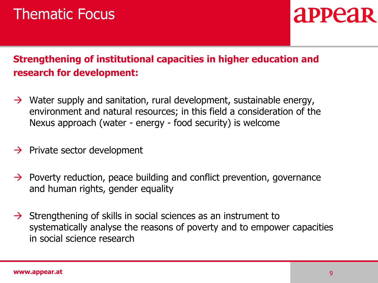#### **Strengthening of institutional capacities in higher education and research for development:**

- $\rightarrow$  Water supply and sanitation, rural development, sustainable energy, environment and natural resources; in this field a consideration of the Nexus approach (water - energy - food security) is welcome
- $\rightarrow$  Private sector development
- $\rightarrow$  Poverty reduction, peace building and conflict prevention, governance and human rights, gender equality
- $\rightarrow$  Strengthening of skills in social sciences as an instrument to systematically analyse the reasons of poverty and to empower capacities in social science research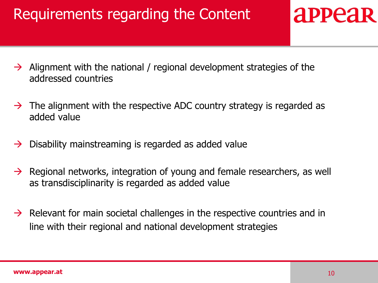### Requirements regarding the Content

- $\rightarrow$  Alignment with the national / regional development strategies of the addressed countries
- $\rightarrow$  The alignment with the respective ADC country strategy is regarded as added value
- $\rightarrow$  Disability mainstreaming is regarded as added value
- $\rightarrow$  Regional networks, integration of young and female researchers, as well as transdisciplinarity is regarded as added value
- $\rightarrow$  Relevant for main societal challenges in the respective countries and in line with their regional and national development strategies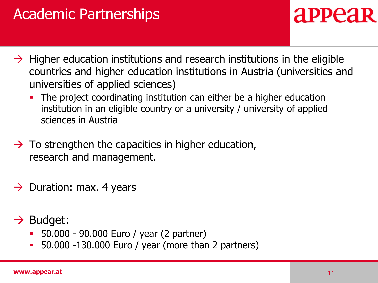### Academic Partnerships

- $\rightarrow$  Higher education institutions and research institutions in the eligible countries and higher education institutions in Austria (universities and universities of applied sciences)
	- The project coordinating institution can either be a higher education institution in an eligible country or a university / university of applied sciences in Austria
- $\rightarrow$  To strengthen the capacities in higher education, research and management.
- $\rightarrow$  Duration: max. 4 years
- $\rightarrow$  Budget:
	- 50.000 90.000 Euro / year (2 partner)
	- 50.000 -130.000 Euro / year (more than 2 partners)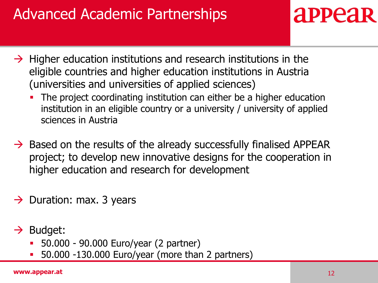### Advanced Academic Partnerships

- $\rightarrow$  Higher education institutions and research institutions in the eligible countries and higher education institutions in Austria (universities and universities of applied sciences)
	- The project coordinating institution can either be a higher education institution in an eligible country or a university / university of applied sciences in Austria
- $\rightarrow$  Based on the results of the already successfully finalised APPEAR project; to develop new innovative designs for the cooperation in higher education and research for development
- $\rightarrow$  Duration: max. 3 years
- $\rightarrow$  Budget:
	- 50.000 90.000 Euro/year (2 partner)
	- 50.000 -130.000 Euro/year (more than 2 partners)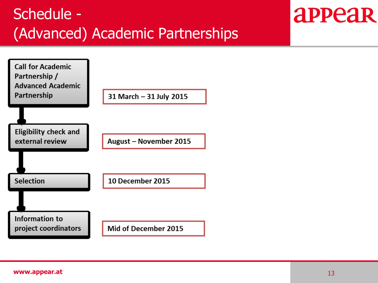### Schedule - (Advanced) Academic Partnerships

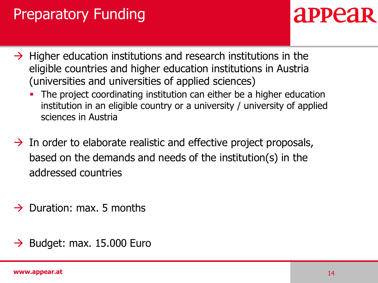### Preparatory Funding

- $\rightarrow$  Higher education institutions and research institutions in the eligible countries and higher education institutions in Austria (universities and universities of applied sciences)
	- The project coordinating institution can either be a higher education institution in an eligible country or a university / university of applied sciences in Austria
- $\rightarrow$  In order to elaborate realistic and effective project proposals, based on the demands and needs of the institution(s) in the addressed countries
- $\rightarrow$  Duration: max. 5 months
- $\rightarrow$  Budget: max. 15.000 Euro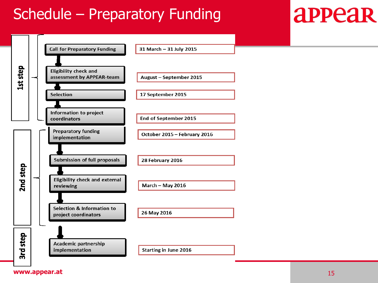### Schedule – Preparatory Funding

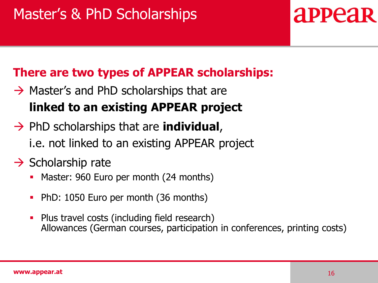#### **There are two types of APPEAR scholarships:**

- $\rightarrow$  Master's and PhD scholarships that are **linked to an existing APPEAR project**
- $\rightarrow$  PhD scholarships that are **individual**, i.e. not linked to an existing APPEAR project
- $\rightarrow$  Scholarship rate
	- Master: 960 Euro per month (24 months)
	- PhD: 1050 Euro per month (36 months)
	- Plus travel costs (including field research) Allowances (German courses, participation in conferences, printing costs)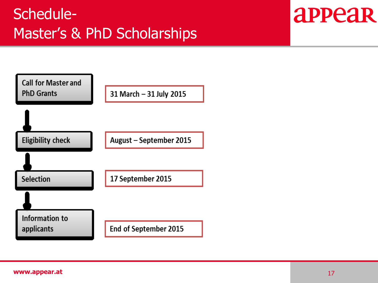### Schedule-Master's & PhD Scholarships

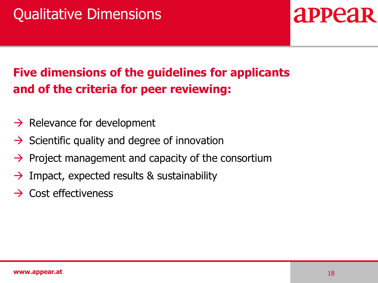#### **Five dimensions of the guidelines for applicants and of the criteria for peer reviewing:**

- $\rightarrow$  Relevance for development
- $\rightarrow$  Scientific quality and degree of innovation
- $\rightarrow$  Project management and capacity of the consortium
- $\rightarrow$  Impact, expected results & sustainability
- $\rightarrow$  Cost effectiveness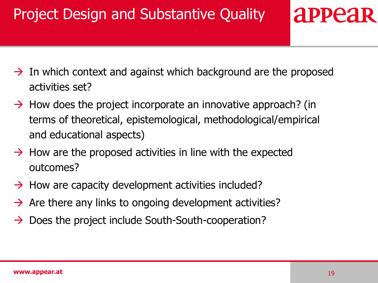### Project Design and Substantive Quality

- $\rightarrow$  In which context and against which background are the proposed activities set?
- $\rightarrow$  How does the project incorporate an innovative approach? (in terms of theoretical, epistemological, methodological/empirical and educational aspects)
- $\rightarrow$  How are the proposed activities in line with the expected outcomes?
- $\rightarrow$  How are capacity development activities included?
- $\rightarrow$  Are there any links to ongoing development activities?
- $\rightarrow$  Does the project include South-South-cooperation?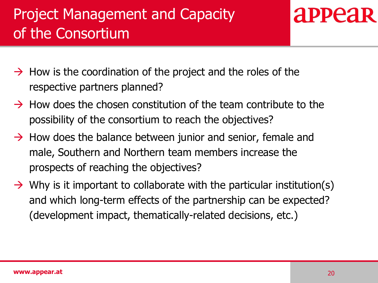### Project Management and Capacity of the Consortium

- $\rightarrow$  How is the coordination of the project and the roles of the respective partners planned?
- $\rightarrow$  How does the chosen constitution of the team contribute to the possibility of the consortium to reach the objectives?
- $\rightarrow$  How does the balance between junior and senior, female and male, Southern and Northern team members increase the prospects of reaching the objectives?
- $\rightarrow$  Why is it important to collaborate with the particular institution(s) and which long-term effects of the partnership can be expected? (development impact, thematically-related decisions, etc.)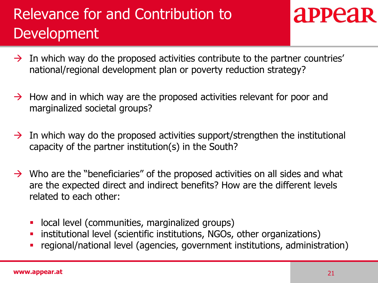### Relevance for and Contribution to Development

- $\rightarrow$  In which way do the proposed activities contribute to the partner countries' national/regional development plan or poverty reduction strategy?
- $\rightarrow$  How and in which way are the proposed activities relevant for poor and marginalized societal groups?
- $\rightarrow$  In which way do the proposed activities support/strengthen the institutional capacity of the partner institution(s) in the South?
- $\rightarrow$  Who are the "beneficiaries" of the proposed activities on all sides and what are the expected direct and indirect benefits? How are the different levels related to each other:
	- local level (communities, marginalized groups)
	- institutional level (scientific institutions, NGOs, other organizations)
	- regional/national level (agencies, government institutions, administration)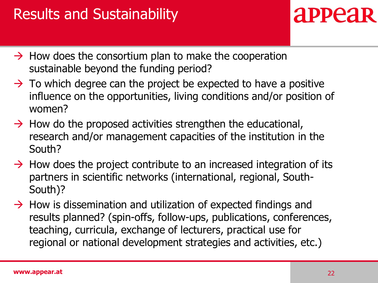### Results and Sustainability

- $\rightarrow$  How does the consortium plan to make the cooperation sustainable beyond the funding period?
- $\rightarrow$  To which degree can the project be expected to have a positive influence on the opportunities, living conditions and/or position of women?
- $\rightarrow$  How do the proposed activities strengthen the educational, research and/or management capacities of the institution in the South?
- $\rightarrow$  How does the project contribute to an increased integration of its partners in scientific networks (international, regional, South-South)?
- $\rightarrow$  How is dissemination and utilization of expected findings and results planned? (spin-offs, follow-ups, publications, conferences, teaching, curricula, exchange of lecturers, practical use for regional or national development strategies and activities, etc.)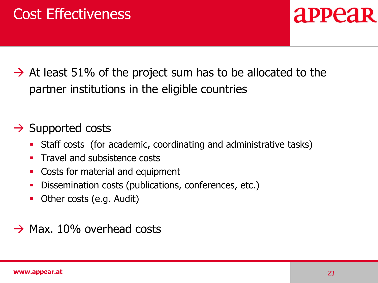$\rightarrow$  At least 51% of the project sum has to be allocated to the partner institutions in the eligible countries

#### $\rightarrow$  Supported costs

- Staff costs (for academic, coordinating and administrative tasks)
- Travel and subsistence costs
- Costs for material and equipment
- Dissemination costs (publications, conferences, etc.)
- Other costs (e.g. Audit)
- $\rightarrow$  Max. 10% overhead costs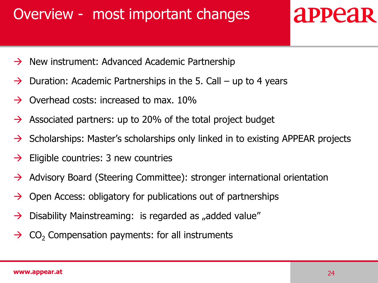### Overview - most important changes

- $\rightarrow$  New instrument: Advanced Academic Partnership
- $\rightarrow$  Duration: Academic Partnerships in the 5. Call up to 4 years
- $\rightarrow$  Overhead costs: increased to max. 10%
- $\rightarrow$  Associated partners: up to 20% of the total project budget
- $\rightarrow$  Scholarships: Master's scholarships only linked in to existing APPEAR projects
- $\rightarrow$  Eligible countries: 3 new countries
- $\rightarrow$  Advisory Board (Steering Committee): stronger international orientation
- $\rightarrow$  Open Access: obligatory for publications out of partnerships
- $\rightarrow$  Disability Mainstreaming: is regarded as "added value"
- $\rightarrow$  CO<sub>2</sub> Compensation payments: for all instruments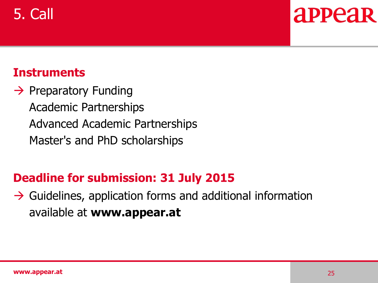### 5. Call

# **APPEAR**

#### **Instruments**

 $\rightarrow$  Preparatory Funding Academic Partnerships Advanced Academic Partnerships Master's and PhD scholarships

#### **Deadline for submission: 31 July 2015**

 $\rightarrow$  Guidelines, application forms and additional information available at **www.appear.at**